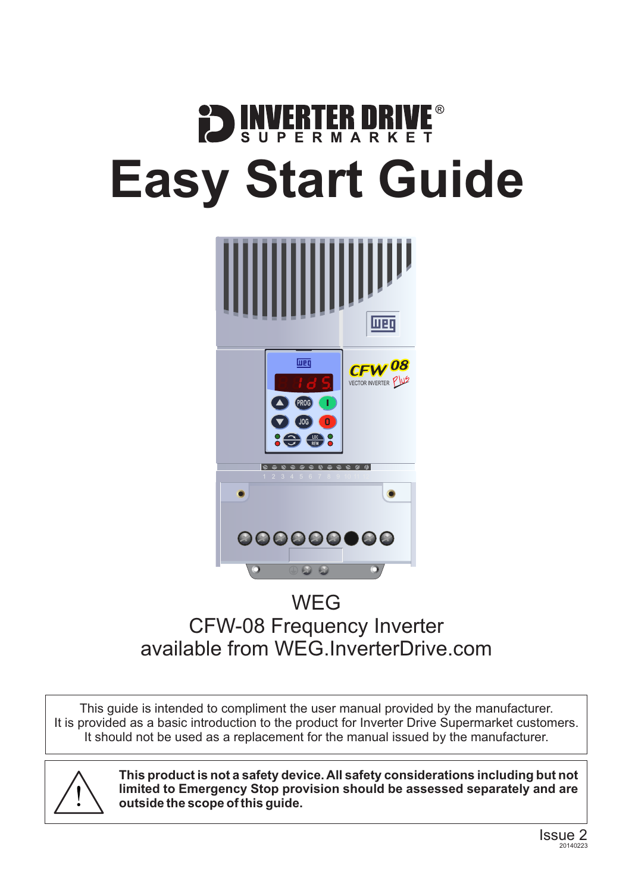# **DENVERTER DRIVE Easy Start Guide**



### WEG CFW-08 Frequency Inverter available from [WEG.InverterDrive.com](http://weg.inverterdrive.com/)

This guide is intended to compliment the user manual provided by the manufacturer. It is provided as a basic introduction to the product for Inverter Drive Supermarket customers. It should not be used as a replacement for the manual issued by the manufacturer.



**This product is not a safety device. All safety considerations including but not limited to Emergency Stop provision should be assessed separately and are outside the scope of this guide.**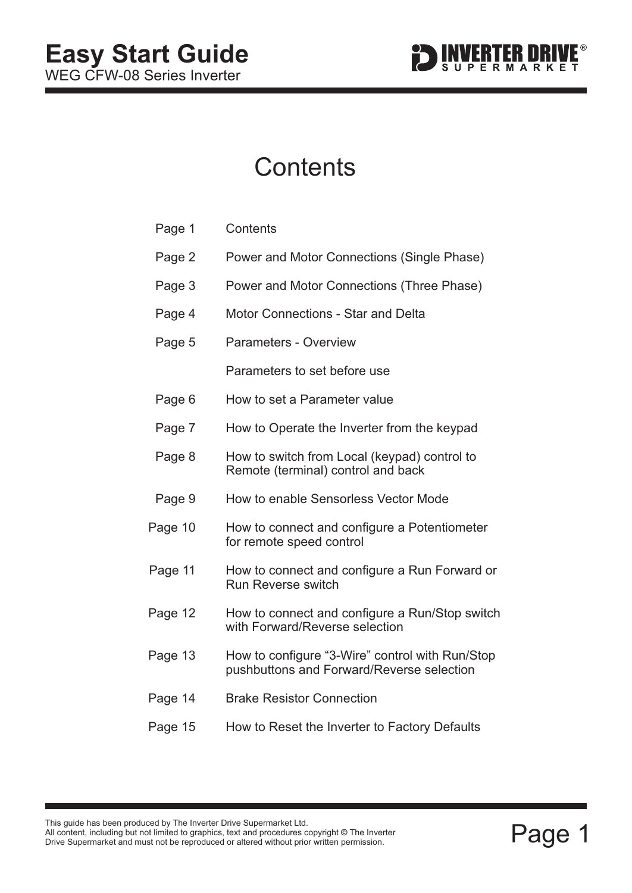

### **Contents**

| Page 1  | Contents                                                                                     |  |
|---------|----------------------------------------------------------------------------------------------|--|
| Page 2  | Power and Motor Connections (Single Phase)                                                   |  |
| Page 3  | Power and Motor Connections (Three Phase)                                                    |  |
| Page 4  | <b>Motor Connections - Star and Delta</b>                                                    |  |
| Page 5  | <b>Parameters - Overview</b>                                                                 |  |
|         | Parameters to set before use                                                                 |  |
| Page 6  | How to set a Parameter value                                                                 |  |
| Page 7  | How to Operate the Inverter from the keypad                                                  |  |
| Page 8  | How to switch from Local (keypad) control to<br>Remote (terminal) control and back           |  |
| Page 9  | How to enable Sensorless Vector Mode                                                         |  |
| Page 10 | How to connect and configure a Potentiometer<br>for remote speed control                     |  |
| Page 11 | How to connect and configure a Run Forward or<br><b>Run Reverse switch</b>                   |  |
| Page 12 | How to connect and configure a Run/Stop switch<br>with Forward/Reverse selection             |  |
| Page 13 | How to configure "3-Wire" control with Run/Stop<br>pushbuttons and Forward/Reverse selection |  |
| Page 14 | <b>Brake Resistor Connection</b>                                                             |  |
| Page 15 | How to Reset the Inverter to Factory Defaults                                                |  |

This guide has been produced by The Inverter Drive Supermarket Ltd.<br>All content, including but not limited to graphics, text and procedures copyright © The Inverter<br>Drive Supermarket and must not be reproduced or altered w All content, including but not limited to graphics, text and procedures copyright © The Inverter Drive Supermarket and must not be reproduced or altered without prior written permission. **©**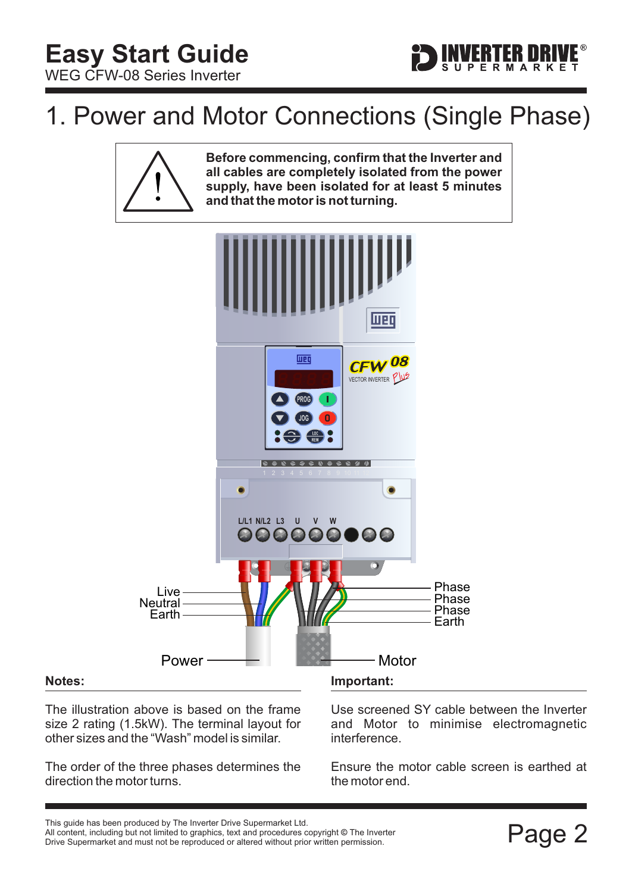

### <span id="page-2-0"></span>1. Power and Motor Connections (Single Phase)



**Before commencing, confirm that the Inverter and all cables are completely isolated from the power supply, have been isolated for at least 5 minutes and that the motor is not turning.**



#### **Notes:**

The illustration above is based on the frame size 2 rating (1.5kW). The terminal layout for other sizes and the "Wash" model is similar.

The order of the three phases determines the direction the motor turns.

Use screened SY cable between the Inverter and Motor to minimise electromagnetic interference.

Ensure the motor cable screen is earthed at the motor end.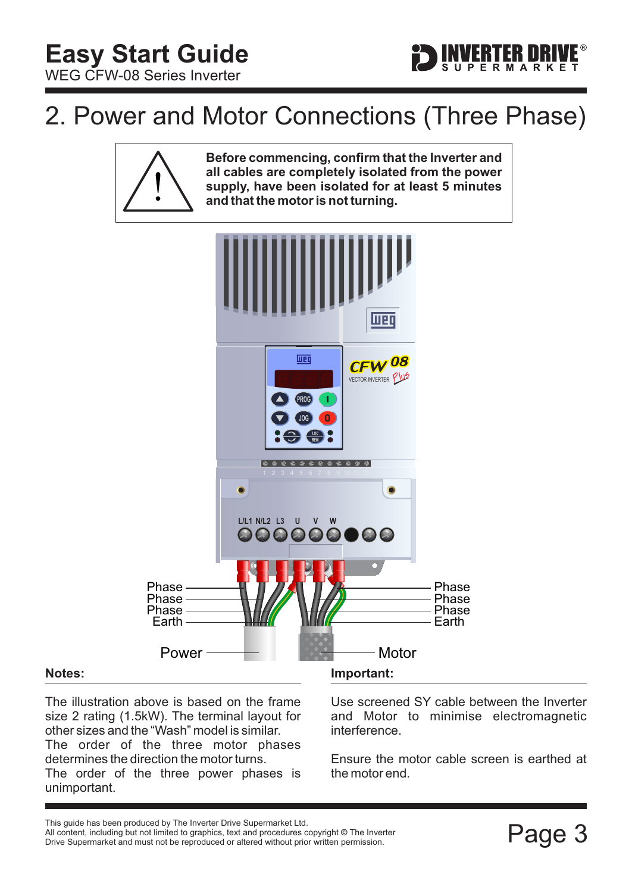

### <span id="page-3-0"></span>2. Power and Motor Connections (Three Phase)



**Before commencing, confirm that the Inverter and all cables are completely isolated from the power supply, have been isolated for at least 5 minutes and that the motor is not turning.**



#### **Notes:**

The illustration above is based on the frame size 2 rating (1.5kW). The terminal layout for other sizes and the "Wash" model is similar. The order of the three motor phases determines the direction the motor turns. The order of the three power phases is unimportant.

Use screened SY cable between the Inverter and Motor to minimise electromagnetic interference.

Ensure the motor cable screen is earthed at the motor end.

This guide has been produced by The Inverter Drive Supermarket Ltd.<br>All content, including but not limited to graphics, text and procedures copyright © The Inverter<br>Drive Supermarket and must not be reproduced or altered w All content, including but not limited to graphics, text and procedures copyright © The Inverter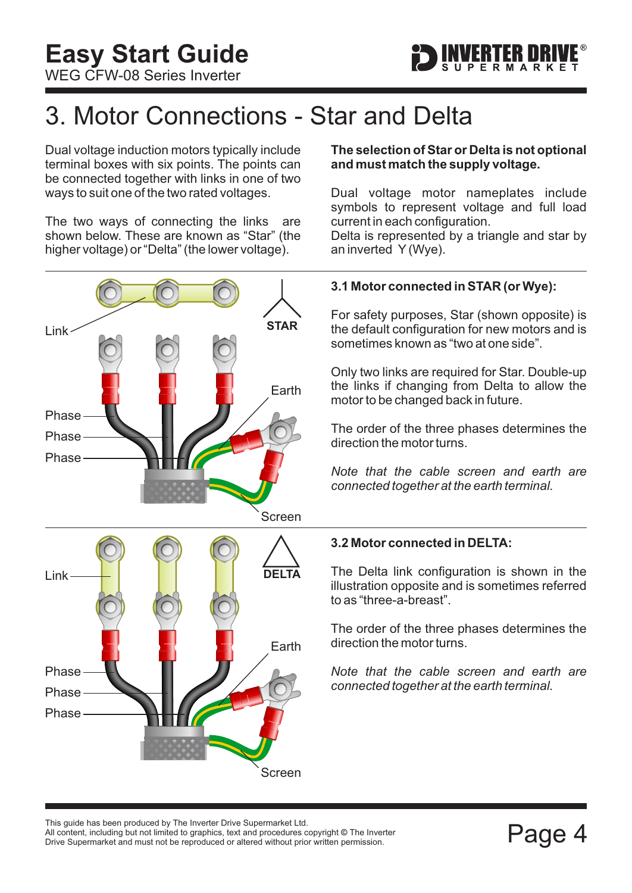

### <span id="page-4-0"></span>3. Motor Connections - Star and Delta

Dual voltage induction motors typically include terminal boxes with six points. The points can be connected together with links in one of two ways to suit one of the two rated voltages.

The two ways of connecting the links are shown below. These are known as "Star" (the higher voltage) or "Delta" (the lower voltage).

## Phase Phase Phase Earth Screen Phase Phase Phase Earth Screen Link **DELTA STAR** Link

#### **The selection of Star or Delta is not optional and must match the supply voltage.**

Dual voltage motor nameplates include symbols to represent voltage and full load current in each configuration.

Delta is represented by a triangle and star by an inverted Y (Wye).

#### **3.1 Motor connected in STAR (or Wye):**

For safety purposes, Star (shown opposite) is the default configuration for new motors and is sometimes known as "two at one side".

Only two links are required for Star. Double-up the links if changing from Delta to allow the motor to be changed back in future.

The order of the three phases determines the direction the motor turns.

*Note that the cable screen and earth are connected together at the earth terminal.*

#### **3.2 Motor connected in DELTA:**

The Delta link configuration is shown in the illustration opposite and is sometimes referred to as "three-a-breast".

The order of the three phases determines the direction the motor turns.

*Note that the cable screen and earth are connected together at the earth terminal.*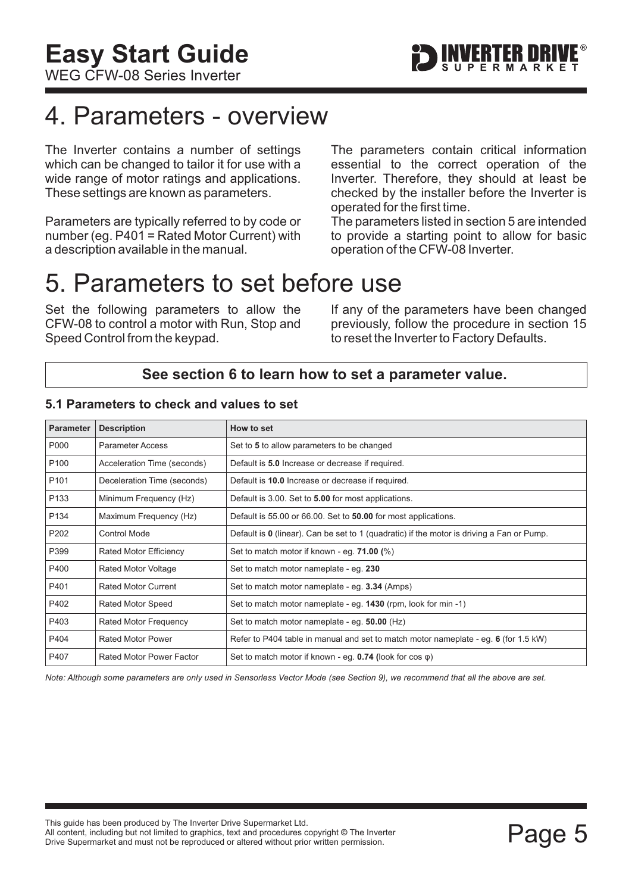### <span id="page-5-0"></span>4. Parameters - overview

The Inverter contains a number of settings which can be changed to tailor it for use with a wide range of motor ratings and applications. These settings are known as parameters.

Parameters are typically referred to by code or number (eg. P401 = Rated Motor Current) with a description available in the manual.

The parameters contain critical information essential to the correct operation of the Inverter. Therefore, they should at least be checked by the installer before the Inverter is operated for the first time.

The parameters listed in section 5 are intended to provide a starting point to allow for basic operation of the CFW-08 Inverter.

### 5. Parameters to set before use

Set the following parameters to allow the CFW-08 to control a motor with Run, Stop and Speed Control from the keypad.

If any of the parameters have been changed previously, follow the procedure in [section 15](#page-15-0) to reset the Inverter to Factory Defaults.

#### **See [section 6](#page-6-0) to learn how to set a parameter value.**

| <b>Parameter</b> | <b>Description</b>              | How to set                                                                                  |
|------------------|---------------------------------|---------------------------------------------------------------------------------------------|
| P000             | <b>Parameter Access</b>         | Set to 5 to allow parameters to be changed                                                  |
| P <sub>100</sub> | Acceleration Time (seconds)     | Default is 5.0 Increase or decrease if required.                                            |
| P <sub>101</sub> | Deceleration Time (seconds)     | Default is 10.0 Increase or decrease if required.                                           |
| P <sub>133</sub> | Minimum Frequency (Hz)          | Default is 3.00. Set to 5.00 for most applications.                                         |
| P <sub>134</sub> | Maximum Frequency (Hz)          | Default is 55.00 or 66.00. Set to 50.00 for most applications.                              |
| P202             | <b>Control Mode</b>             | Default is $0$ (linear). Can be set to 1 (quadratic) if the motor is driving a Fan or Pump. |
| P399             | Rated Motor Efficiency          | Set to match motor if known - eg. $71.00\$ (%)                                              |
| P400             | <b>Rated Motor Voltage</b>      | Set to match motor nameplate - eq. 230                                                      |
| P401             | <b>Rated Motor Current</b>      | Set to match motor nameplate - eg. 3.34 (Amps)                                              |
| P402             | <b>Rated Motor Speed</b>        | Set to match motor nameplate - eg. 1430 (rpm, look for min -1)                              |
| P403             | Rated Motor Frequency           | Set to match motor nameplate - eg. 50.00 (Hz)                                               |
| P404             | <b>Rated Motor Power</b>        | Refer to P404 table in manual and set to match motor nameplate - eg. $6$ (for 1.5 kW)       |
| P407             | <b>Rated Motor Power Factor</b> | Set to match motor if known - eg. $0.74$ (look for cos $\varphi$ )                          |

#### **5.1 Parameters to check and values to set**

*Note: Although some parameters are only used in Sensorless Vector Mode (see [Section 9\)](#page-9-0), we recommend that all the above are set.*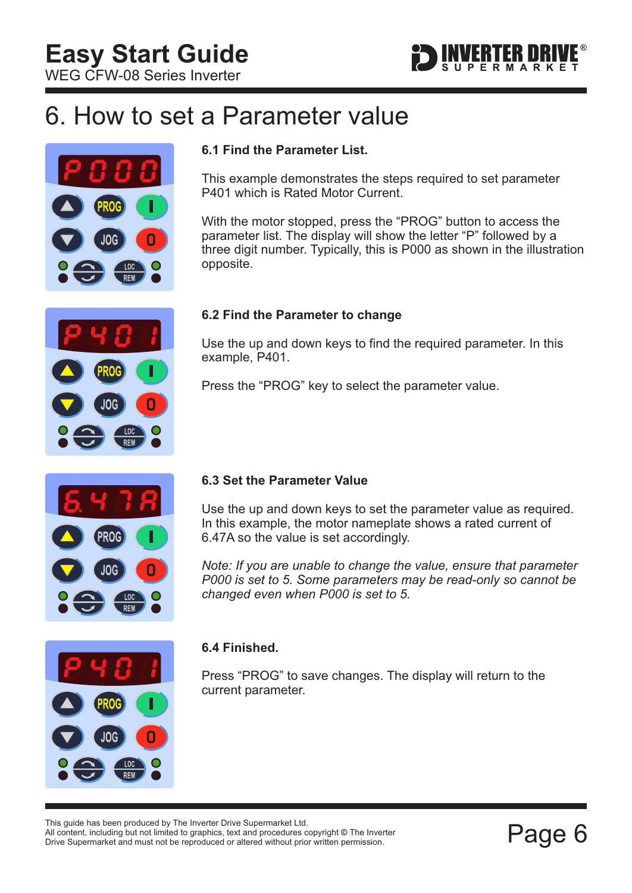

### <span id="page-6-0"></span>6. How to set a Parameter value



### **6.1 Find the Parameter List.**

This example demonstrates the steps required to set parameter P401 which is Rated Motor Current.

With the motor stopped, press the "PROG" button to access the parameter list. The display will show the letter "P" followed by a three digit number. Typically, this is P000 as shown in the illustration opposite.

#### **6.2 Find the Parameter to change**

Use the up and down keys to find the required parameter. In this example, P401.

Press the "PROG" key to select the parameter value.



#### **6.3 Set the Parameter Value**

Use the up and down keys to set the parameter value as required. In this example, the motor nameplate shows a rated current of 6.47A so the value is set accordingly.

*Note: If you are unable to change the value, ensure that parameter P000 is set to 5. Some parameters may be read-only so cannot be changed even when P000 is set to 5.*



#### **6.4 Finished.**

Press "PROG" to save changes. The display will return to the current parameter.

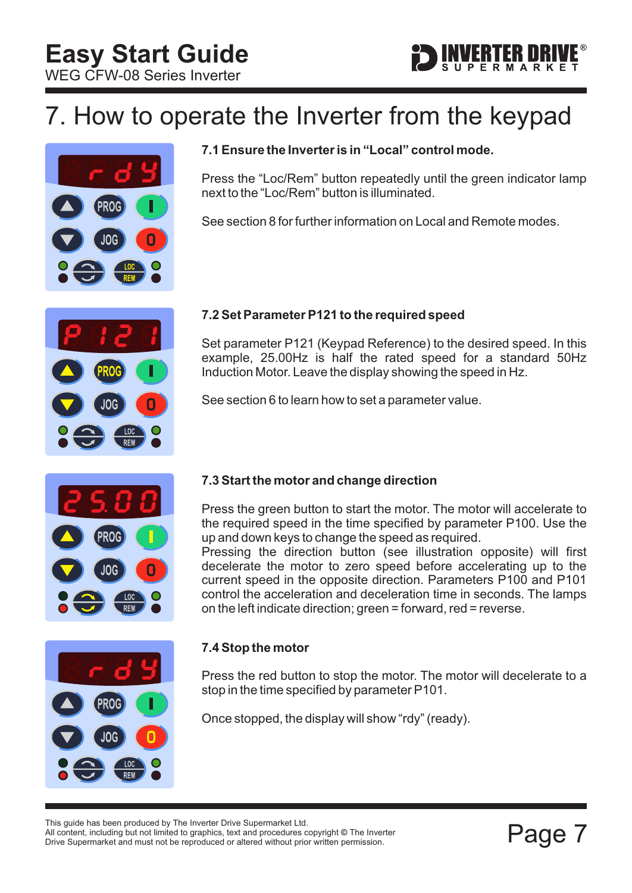

### <span id="page-7-0"></span>7. How to operate the Inverter from the keypad



#### **7.1 Ensure the Inverter is in "Local" control mode.**

Press the "Loc/Rem" button repeatedly until the green indicator lamp next to the "Loc/Rem" button is illuminated.

See [section 8](#page-8-0) for further information on Local and Remote modes.



#### **7.2 Set Parameter P121 to the required speed**

Set parameter P121 (Keypad Reference) to the desired speed. In this example, 25.00Hz is half the rated speed for a standard 50Hz Induction Motor. Leave the display showing the speed in Hz.

See [section 6](#page-6-0) to learn how to set a parameter value.



#### **7.3 Start the motor and change direction**

Press the green button to start the motor. The motor will accelerate to the required speed in the time specified by parameter P100. Use the up and down keys to change the speed as required.

Pressing the direction button (see illustration opposite) will first decelerate the motor to zero speed before accelerating up to the current speed in the opposite direction. Parameters P100 and P101 control the acceleration and deceleration time in seconds. The lamps on the left indicate direction; green = forward, red = reverse.



#### **7.4 Stop the motor**

Press the red button to stop the motor. The motor will decelerate to a stop in the time specified by parameter P101.

Once stopped, the display will show "rdy" (ready).

This guide has been produced by The Inverter Drive Supermarket Ltd.<br>All content, including but not limited to graphics, text and procedures copyright © The Inverter<br>Drive Supermarket and must not be reproduced or altered w All content, including but not limited to graphics, text and procedures copyright © The Inverter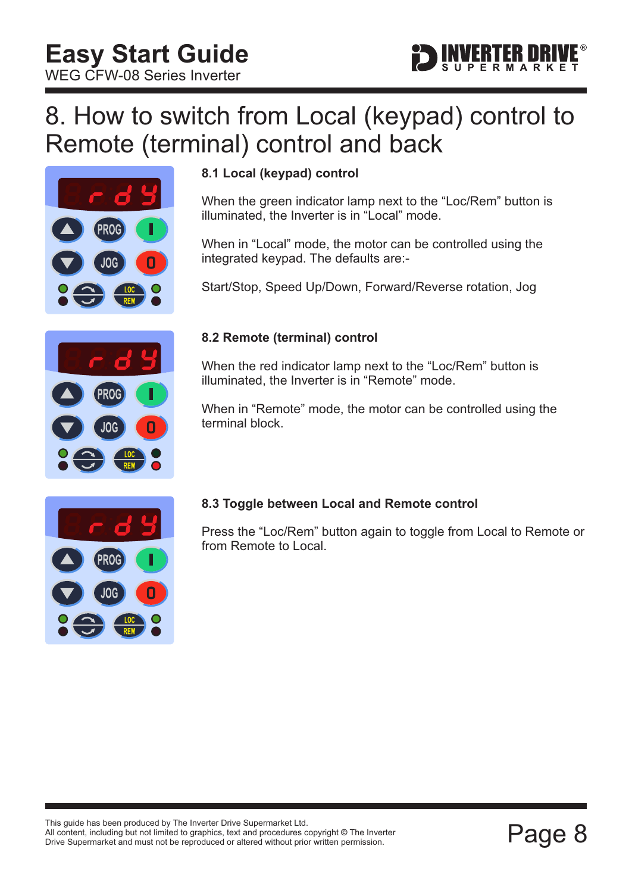

### <span id="page-8-0"></span>8. How to switch from Local (keypad) control to Remote (terminal) control and back



#### **8.1 Local (keypad) control**

When the green indicator lamp next to the "Loc/Rem" button is illuminated, the Inverter is in "Local" mode.

When in "Local" mode, the motor can be controlled using the integrated keypad. The defaults are:-

Start/Stop, Speed Up/Down, Forward/Reverse rotation, Jog



#### **8.2 Remote (terminal) control**

When the red indicator lamp next to the "Loc/Rem" button is illuminated, the Inverter is in "Remote" mode.

When in "Remote" mode, the motor can be controlled using the terminal block.



#### **8.3 Toggle between Local and Remote control**

Press the "Loc/Rem" button again to toggle from Local to Remote or from Remote to Local.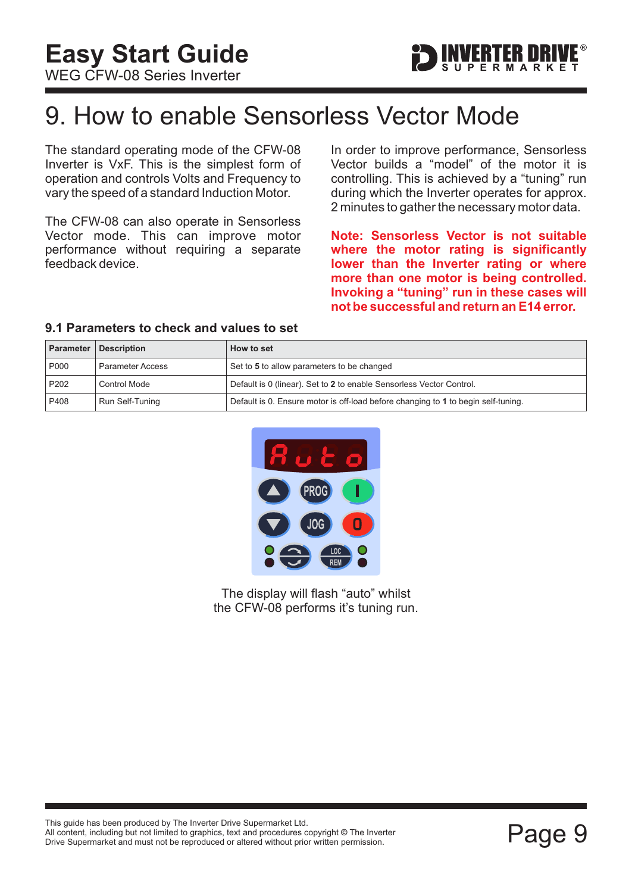

### <span id="page-9-0"></span>9. How to enable Sensorless Vector Mode

The standard operating mode of the CFW-08 Inverter is VxF. This is the simplest form of operation and controls Volts and Frequency to vary the speed of a standard Induction Motor.

The CFW-08 can also operate in Sensorless Vector mode. This can improve motor performance without requiring a separate feedback device.

In order to improve performance, Sensorless Vector builds a "model" of the motor it is controlling. This is achieved by a "tuning" run during which the Inverter operates for approx. 2 minutes to gather the necessary motor data.

**Note: Sensorless Vector is not suitable where the motor rating is significantly lower than the Inverter rating or where more than one motor is being controlled. Invoking a "tuning" run in these cases will not be successful and return an E14 error.**

#### **9.1 Parameters to check and values to set**

|                  | <b>Parameter   Description</b> | How to set                                                                        |
|------------------|--------------------------------|-----------------------------------------------------------------------------------|
| P000             | <b>Parameter Access</b>        | Set to 5 to allow parameters to be changed                                        |
| P <sub>202</sub> | Control Mode                   | Default is 0 (linear). Set to 2 to enable Sensorless Vector Control.              |
| P408             | Run Self-Tuning                | Default is 0. Ensure motor is off-load before changing to 1 to begin self-tuning. |



The display will flash "auto" whilst the CFW-08 performs it's tuning run.

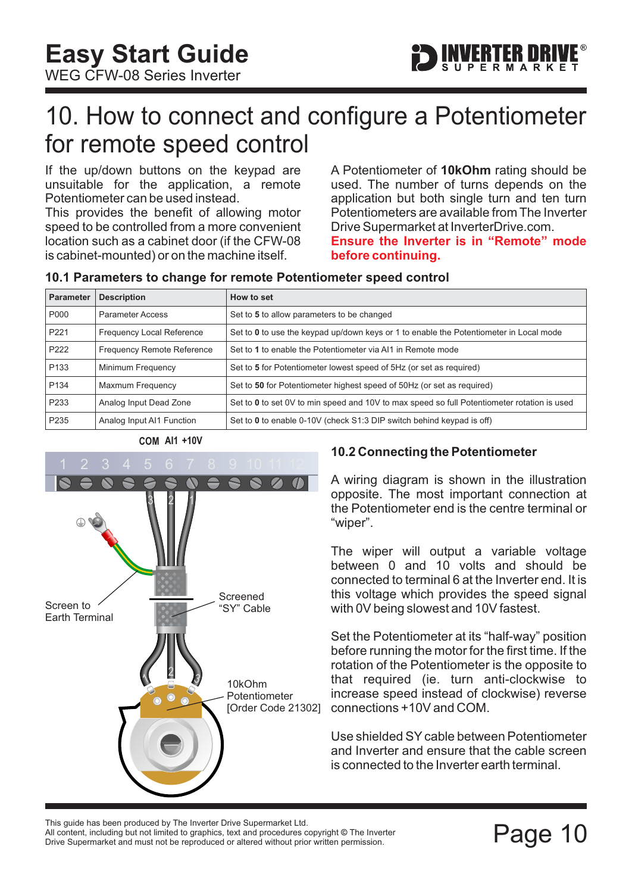<span id="page-10-0"></span>**Easy Start Guide**

WEG CFW-08 Series Inverter

### 10. How to connect and configure a Potentiometer for remote speed control

If the up/down buttons on the keypad are unsuitable for the application, a remote Potentiometer can be used instead.

This provides the benefit of allowing motor speed to be controlled from a more convenient location such as a cabinet door (if the CFW-08 is cabinet-mounted) or on the machine itself.

A Potentiometer of 10kOhm rating should be used. The number of turns depends on the application but both single turn and ten turn Potentiometers are available from The Inverter Drive Supermarket at InverterDrive.com. **Ensure the Inverter is in "Remote" mode**

**before continuing.**

#### **10.1 Parameters to change for remote Potentiometer speed control**

| <b>Parameter</b> | <b>Description</b>                | How to set                                                                                  |
|------------------|-----------------------------------|---------------------------------------------------------------------------------------------|
| P000             | <b>Parameter Access</b>           | Set to 5 to allow parameters to be changed                                                  |
| P <sub>221</sub> | <b>Frequency Local Reference</b>  | Set to 0 to use the keypad up/down keys or 1 to enable the Potentiometer in Local mode      |
| P222             | <b>Frequency Remote Reference</b> | Set to 1 to enable the Potentiometer via Al1 in Remote mode                                 |
| P <sub>133</sub> | Minimum Frequency                 | Set to 5 for Potentiometer lowest speed of 5Hz (or set as required)                         |
| P <sub>134</sub> | Maxmum Frequency                  | Set to 50 for Potentiometer highest speed of 50Hz (or set as required)                      |
| P <sub>233</sub> | Analog Input Dead Zone            | Set to 0 to set 0V to min speed and 10V to max speed so full Potentiometer rotation is used |
| P <sub>235</sub> | Analog Input AI1 Function         | Set to 0 to enable 0-10V (check S1:3 DIP switch behind keypad is off)                       |



#### **10.2 Connecting the Potentiometer**

A wiring diagram is shown in the illustration opposite. The most important connection at the Potentiometer end is the centre terminal or "wiper".

The wiper will output a variable voltage between 0 and 10 volts and should be connected to terminal 6 at the Inverter end. It is this voltage which provides the speed signal with 0V being slowest and 10V fastest.

Set the Potentiometer at its "half-way" position before running the motor for the first time. If the rotation of the Potentiometer is the opposite to that required (ie. turn anti-clockwise to increase speed instead of clockwise) reverse connections +10V and COM.

Use shielded SY cable between Potentiometer and Inverter and ensure that the cable screen is connected to the Inverter earth terminal.

This guide has been produced by The Inverter Drive Supermarket Ltd.<br>All content, including but not limited to graphics, text and procedures copyright © The Inverter<br>Drive Supermarket and must not be reproduced or altered w All content, including but not limited to graphics, text and procedures copyright © The Inverter Drive Supermarket and must not be reproduced or altered without prior written permission.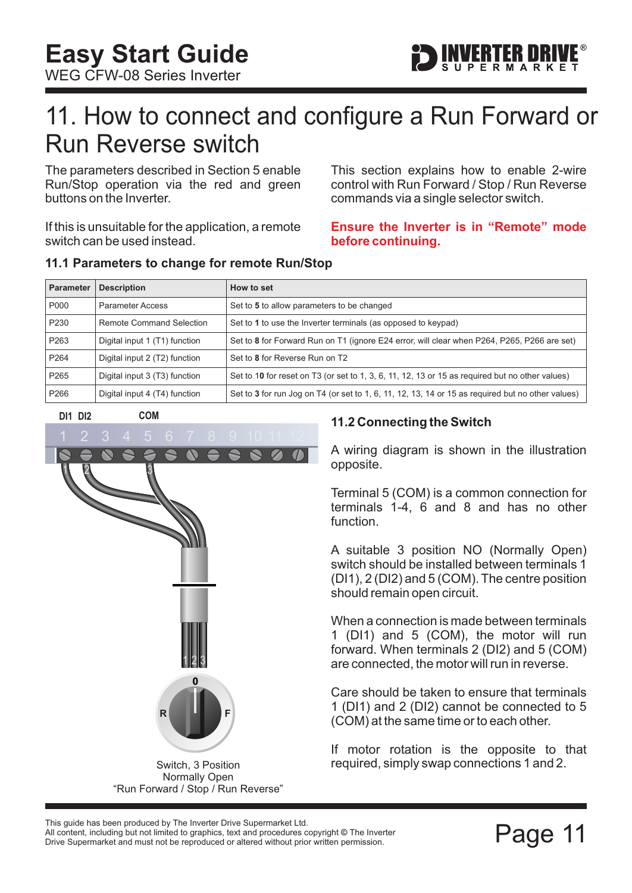

### <span id="page-11-0"></span>11. How to connect and configure a Run Forward or Run Reverse switch

The parameters described in [Section 5](#page-5-0) enable Run/Stop operation via the red and green buttons on the Inverter.

If this is unsuitable for the application, a remote switch can be used instead.

This section explains how to enable 2-wire control with Run Forward / Stop / Run Reverse commands via a single selector switch.

#### **Ensure the Inverter is in "Remote" mode before continuing.**

#### **11.1 Parameters to change for remote Run/Stop**

| <b>Parameter</b> | <b>Description</b>              | How to set                                                                                        |
|------------------|---------------------------------|---------------------------------------------------------------------------------------------------|
| P000             | <b>Parameter Access</b>         | Set to 5 to allow parameters to be changed                                                        |
| P <sub>230</sub> | <b>Remote Command Selection</b> | Set to 1 to use the Inverter terminals (as opposed to keypad)                                     |
| P <sub>263</sub> | Digital input 1 (T1) function   | Set to 8 for Forward Run on T1 (ignore E24 error, will clear when P264, P265, P266 are set)       |
| P <sub>264</sub> | Digital input 2 (T2) function   | Set to 8 for Reverse Run on T2                                                                    |
| P <sub>265</sub> | Digital input 3 (T3) function   | Set to 10 for reset on T3 (or set to 1, 3, 6, 11, 12, 13 or 15 as required but no other values)   |
| P <sub>266</sub> | Digital input 4 (T4) function   | Set to 3 for run Jog on T4 (or set to 1, 6, 11, 12, 13, 14 or 15 as required but no other values) |



**11.2 Connecting the Switch**

A wiring diagram is shown in the illustration opposite.

Terminal 5 (COM) is a common connection for terminals 1-4, 6 and 8 and has no other function.

A suitable 3 position NO (Normally Open) switch should be installed between terminals 1 (DI1), 2 (DI2) and 5 (COM). The centre position should remain open circuit.

When a connection is made between terminals 1 (DI1) and 5 (COM), the motor will run forward. When terminals 2 (DI2) and 5 (COM) are connected, the motor will run in reverse.

Care should be taken to ensure that terminals 1 (DI1) and 2 (DI2) cannot be connected to 5 (COM) at the same time or to each other.

If motor rotation is the opposite to that required, simply swap connections 1 and 2.

All content, including but not limited to graphics, text and procedures copyright © The Inverter

This guide has been produced by The Inverter Drive Supermarket Ltd.<br>All content, including but not limited to graphics, text and procedures copyright © The Inverter<br>Drive Supermarket and must not be reproduced or altered w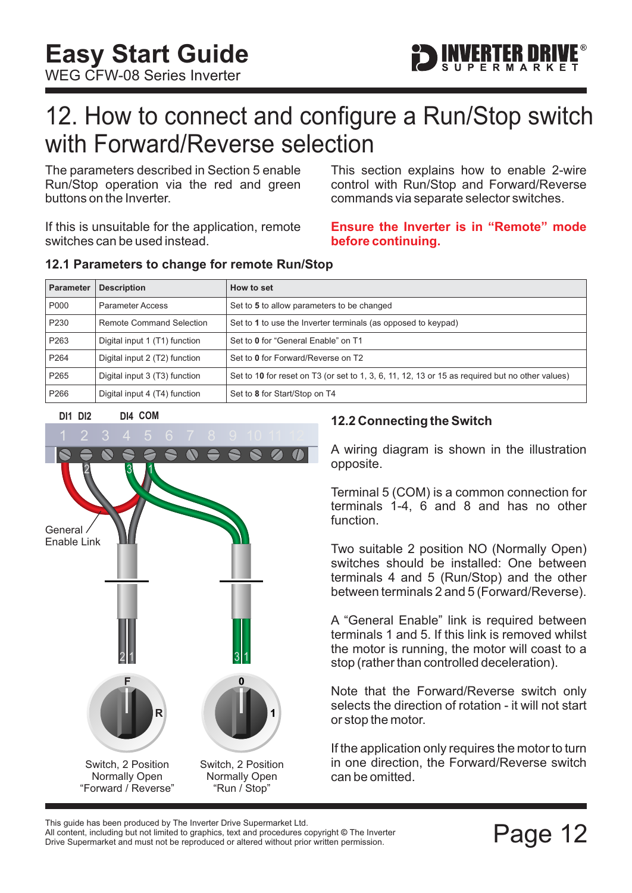### <span id="page-12-0"></span>12. How to connect and configure a Run/Stop switch with Forward/Reverse selection

The parameters described in [Section 5](#page-5-0) enable Run/Stop operation via the red and green buttons on the Inverter.

If this is unsuitable for the application, remote switches can be used instead.

This section explains how to enable 2-wire control with Run/Stop and Forward/Reverse commands via separate selector switches.

FRTFR M

#### **Ensure the Inverter is in "Remote" mode before continuing.**

#### **12.1 Parameters to change for remote Run/Stop**

| <b>Parameter</b> | <b>Description</b>            | How to set                                                                                      |
|------------------|-------------------------------|-------------------------------------------------------------------------------------------------|
| P000             | <b>Parameter Access</b>       | Set to 5 to allow parameters to be changed                                                      |
| P <sub>230</sub> | Remote Command Selection      | Set to 1 to use the Inverter terminals (as opposed to keypad)                                   |
| P <sub>263</sub> | Digital input 1 (T1) function | Set to 0 for "General Enable" on T1                                                             |
| P <sub>264</sub> | Digital input 2 (T2) function | Set to 0 for Forward/Reverse on T2                                                              |
| P <sub>265</sub> | Digital input 3 (T3) function | Set to 10 for reset on T3 (or set to 1, 3, 6, 11, 12, 13 or 15 as required but no other values) |
| P <sub>266</sub> | Digital input 4 (T4) function | Set to 8 for Start/Stop on T4                                                                   |

#### **DI1 DI2 COM DI4**



#### **12.2 Connecting the Switch**

A wiring diagram is shown in the illustration opposite.

Terminal 5 (COM) is a common connection for terminals 1-4, 6 and 8 and has no other function.

Two suitable 2 position NO (Normally Open) switches should be installed: One between terminals 4 and 5 (Run/Stop) and the other between terminals 2 and 5 (Forward/Reverse).

A "General Enable" link is required between terminals 1 and 5. If this link is removed whilst the motor is running, the motor will coast to a stop (rather than controlled deceleration).

Note that the Forward/Reverse switch only selects the direction of rotation - it will not start or stop the motor.

If the application only requires the motor to turn in one direction, the Forward/Reverse switch can be omitted.

This guide has been produced by The Inverter Drive Supermarket Ltd.<br>All content, including but not limited to graphics, text and procedures copyright © The Inverter<br>Drive Supermarket and must not be reproduced or altered w All content, including but not limited to graphics, text and procedures copyright © The Inverter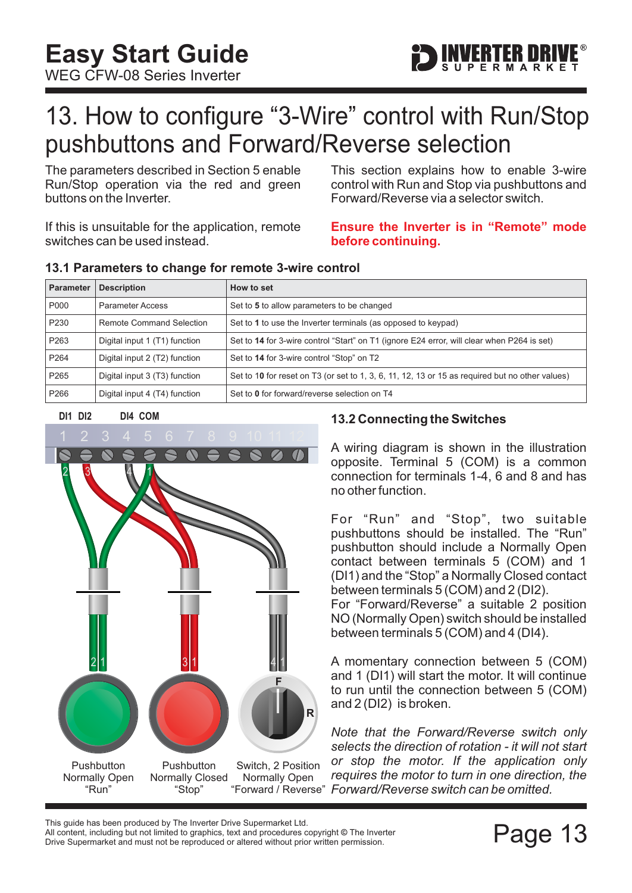

### <span id="page-13-0"></span>13. How to configure "3-Wire" control with Run/Stop pushbuttons and Forward/Reverse selection

The parameters described in [Section 5](#page-5-0) enable Run/Stop operation via the red and green buttons on the Inverter.

If this is unsuitable for the application, remote switches can be used instead.

This section explains how to enable 3-wire control with Run and Stop via pushbuttons and Forward/Reverse via a selector switch.

#### **Ensure the Inverter is in "Remote" mode before continuing.**

| <b>Parameter</b> | <b>Description</b>              | How to set                                                                                      |
|------------------|---------------------------------|-------------------------------------------------------------------------------------------------|
| P000             | <b>Parameter Access</b>         | Set to 5 to allow parameters to be changed                                                      |
| P <sub>230</sub> | <b>Remote Command Selection</b> | Set to 1 to use the Inverter terminals (as opposed to keypad)                                   |
| P263             | Digital input 1 (T1) function   | Set to 14 for 3-wire control "Start" on T1 (ignore E24 error, will clear when P264 is set)      |
| P <sub>264</sub> | Digital input 2 (T2) function   | Set to 14 for 3-wire control "Stop" on T2                                                       |
| P <sub>265</sub> | Digital input 3 (T3) function   | Set to 10 for reset on T3 (or set to 1, 3, 6, 11, 12, 13 or 15 as required but no other values) |
| P <sub>266</sub> | Digital input 4 (T4) function   | Set to 0 for forward/reverse selection on T4                                                    |

#### **13.1 Parameters to change for remote 3-wire control**



#### **13.2 Connecting the Switches**

A wiring diagram is shown in the illustration opposite. Terminal 5 (COM) is a common connection for terminals 1-4, 6 and 8 and has no other function.

For "Run" and "Stop", two suitable pushbuttons should be installed. The "Run" pushbutton should include a Normally Open contact between terminals 5 (COM) and 1 (DI1) and the "Stop" a Normally Closed contact between terminals 5 (COM) and 2 (DI2).

For "Forward/Reverse" a suitable 2 position NO (Normally Open) switch should be installed between terminals 5 (COM) and 4 (DI4).

A momentary connection between 5 (COM) and 1 (DI1) will start the motor. It will continue to run until the connection between 5 (COM) and 2 (DI2) is broken.

*Note that the Forward/Reverse switch only selects the direction of rotation - it will not start or stop the motor. If the application only requires the motor to turn in one direction, the* "Forward / Reverse" Forward/Reverse switch can be omitted.

This guide has been produced by The Inverter Drive Supermarket Ltd.<br>All content, including but not limited to graphics, text and procedures copyright © The Inverter<br>Drive Supermarket and must not be reproduced or altered w All content, including but not limited to graphics, text and procedures copyright © The Inverter Drive Supermarket and must not be reproduced or altered without prior written permission.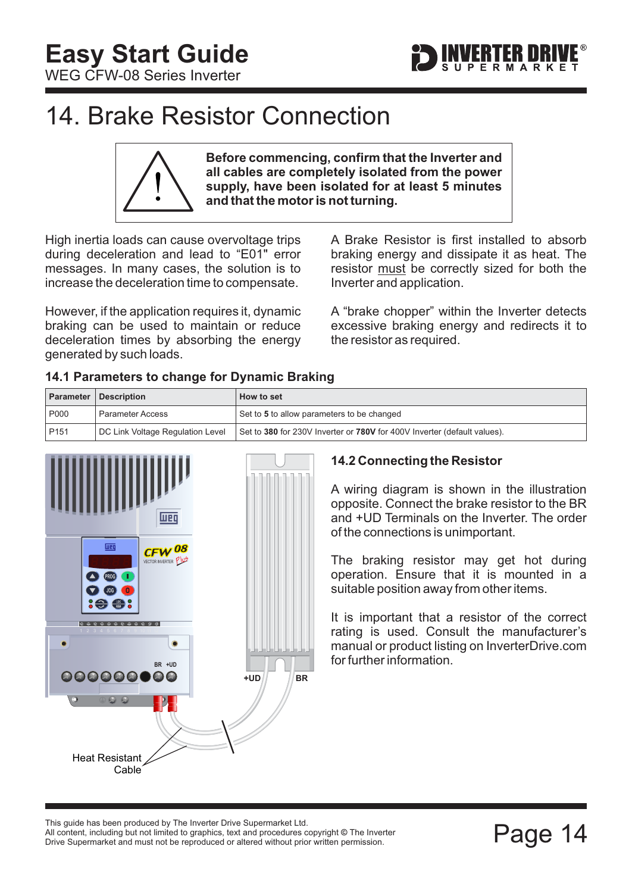

### <span id="page-14-0"></span>14. Brake Resistor Connection

**Before commencing, confirm that the Inverter and all cables are completely isolated from the power supply, have been isolated for at least 5 minutes and that the motor is not turning.**

High inertia loads can cause overvoltage trips during deceleration and lead to "E01" error messages. In many cases, the solution is to increase the deceleration time to compensate.

However, if the application requires it, dynamic braking can be used to maintain or reduce deceleration times by absorbing the energy generated by such loads.

A Brake Resistor is first installed to absorb braking energy and dissipate it as heat. The resistor must be correctly sized for both the Inverter and application.

A "brake chopper" within the Inverter detects excessive braking energy and redirects it to the resistor as required.

#### **14.1 Parameters to change for Dynamic Braking**

|                  | <b>Parameter   Description</b>   | How to set                                                               |
|------------------|----------------------------------|--------------------------------------------------------------------------|
| P000             | Parameter Access                 | Set to 5 to allow parameters to be changed                               |
| P <sub>151</sub> | DC Link Voltage Regulation Level | Set to 380 for 230V Inverter or 780V for 400V Inverter (default values). |



#### **14.2 Connecting the Resistor**

A wiring diagram is shown in the illustration opposite. Connect the brake resistor to the BR and +UD Terminals on the Inverter. The order of the connections is unimportant.

The braking resistor may get hot during operation. Ensure that it is mounted in a suitable position away from other items.

It is important that a resistor of the correct rating is used. Consult the manufacturer's manual or product listing on InverterDrive.com for further information.